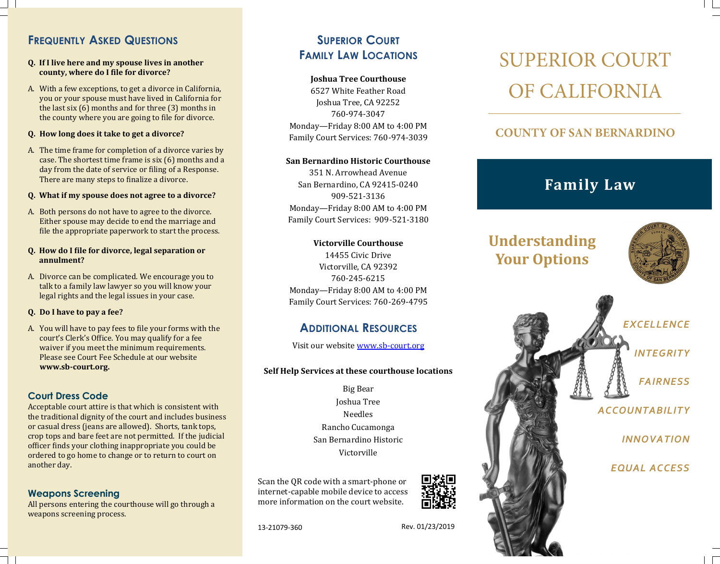# **FREQUENTLY ASKED QUESTIONS**

### **Q. If I live here and my spouse lives in another county, where do I file for divorce?**

A. With a few exceptions, to get a divorce in California, you or your spouse must have lived in California for the last six (6) months and for three (3) months in the county where you are going to file for divorce.

### **Q. How long does it take to get a divorce?**

A. The time frame for completion of a divorce varies by case. The shortest time frame is six (6) months and a day from the date of service or filing of a Response. There are many steps to finalize a divorce.

## **Q. What if my spouse does not agree to a divorce?**

A. Both persons do not have to agree to the divorce. Either spouse may decide to end the marriage and file the appropriate paperwork to start the process.

### **Q. How do I file for divorce, legal separation or annulment?**

A. Divorce can be complicated. We encourage you to talk to a family law lawyer so you will know your legal rights and the legal issues in your case.

### **Q. Do I have to pay a fee?**

A. You will have to pay fees to file your forms with the court's Clerk's Office. You may qualify for a fee waiver if you meet the minimum requirements. Please see [Court Fee Schedule](http://www.sb-court.org/Portals/0/Documents/PDF/feeSched.pdf) at our website **www.sb-court.org.**

## **Court Dress Code**

Acceptable court attire is that which is consistent with the traditional dignity of the court and includes business or casual dress (jeans are allowed). Shorts, tank tops, crop tops and bare feet are not permitted. If the judicial officer finds your clothing inappropriate you could be ordered to go home to change or to return to court on another day.

## **Weapons Screening**

All persons entering the courthouse will go through a weapons screening process.

# **SUPERIOR COURT FAMILY LAW LOCATIONS**

## **Joshua Tree Courthouse**

6527 White Feather Road Joshua Tree, CA 92252 760-974-3047 Monday—Friday 8:00 AM to 4:00 PM Family Court Services: 760-974-3039

## **San Bernardino Historic Courthouse**

351 N. Arrowhead Avenue San Bernardino, CA 92415-0240 909-521-3136 Monday—Friday 8:00 AM to 4:00 PM Family Court Services: 909-521-3180

### **Victorville Courthouse**

14455 Civic Drive Victorville, CA 92392 760-245-6215 Monday—Friday 8:00 AM to 4:00 PM Family Court Services: 760-269-4795

# **ADDITIONAL RESOURCES**

Visit our website www.sb-[court.org](http://www.sb-court.org)

## **Self Help Services at these courthouse locations**

Big Bear Joshua Tree Needles Rancho Cucamonga San Bernardino Historic Victorville

Scan the QR code with a smart-phone or internet-capable mobile device to access more information on the court website.



**SUPERIOR COURT** OF CALIFORNIA

# **COUNTY OF SAN BERNARDINO**

# **Family Law**

# **Understanding Your Options**





13-21079-360

Rev. 01/23/2019